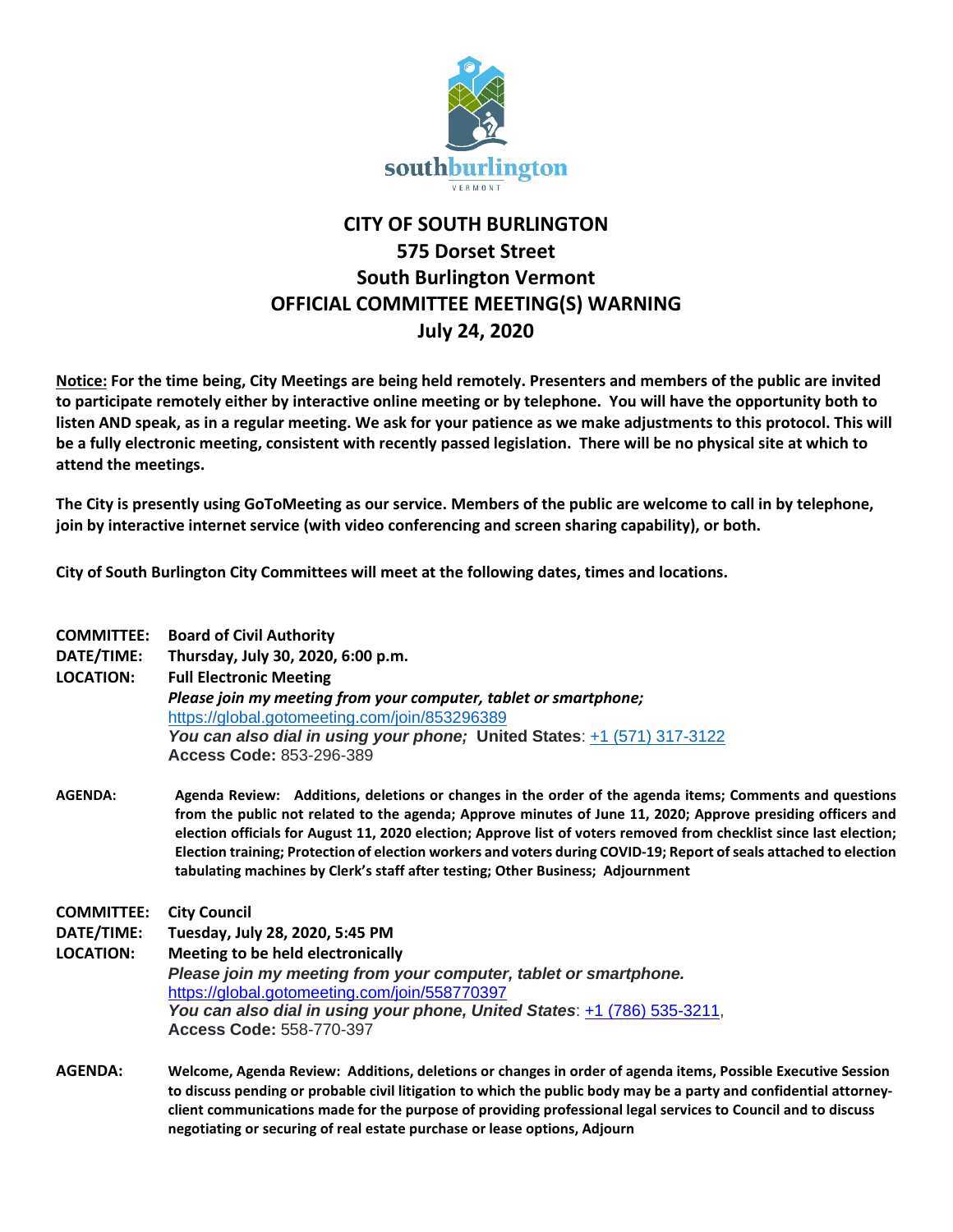

## **CITY OF SOUTH BURLINGTON 575 Dorset Street South Burlington Vermont OFFICIAL COMMITTEE MEETING(S) WARNING July 24, 2020**

**Notice: For the time being, City Meetings are being held remotely. Presenters and members of the public are invited to participate remotely either by interactive online meeting or by telephone. You will have the opportunity both to listen AND speak, as in a regular meeting. We ask for your patience as we make adjustments to this protocol. This will be a fully electronic meeting, consistent with recently passed legislation. There will be no physical site at which to attend the meetings.** 

**The City is presently using GoToMeeting as our service. Members of the public are welcome to call in by telephone, join by interactive internet service (with video conferencing and screen sharing capability), or both.**

**City of South Burlington City Committees will meet at the following dates, times and locations.** 

**negotiating or securing of real estate purchase or lease options, Adjourn**

| <b>COMMITTEE:</b> | <b>Board of Civil Authority</b>                                                                                                                                                                                                                                                                                                                                                                                                                                                                                                                        |
|-------------------|--------------------------------------------------------------------------------------------------------------------------------------------------------------------------------------------------------------------------------------------------------------------------------------------------------------------------------------------------------------------------------------------------------------------------------------------------------------------------------------------------------------------------------------------------------|
| DATE/TIME:        | Thursday, July 30, 2020, 6:00 p.m.                                                                                                                                                                                                                                                                                                                                                                                                                                                                                                                     |
| <b>LOCATION:</b>  | <b>Full Electronic Meeting</b>                                                                                                                                                                                                                                                                                                                                                                                                                                                                                                                         |
|                   | Please join my meeting from your computer, tablet or smartphone;                                                                                                                                                                                                                                                                                                                                                                                                                                                                                       |
|                   | https://global.gotomeeting.com/join/853296389                                                                                                                                                                                                                                                                                                                                                                                                                                                                                                          |
|                   | You can also dial in using your phone; United States: +1 (571) 317-3122                                                                                                                                                                                                                                                                                                                                                                                                                                                                                |
|                   | Access Code: 853-296-389                                                                                                                                                                                                                                                                                                                                                                                                                                                                                                                               |
| <b>AGENDA:</b>    | Agenda Review: Additions, deletions or changes in the order of the agenda items; Comments and questions<br>from the public not related to the agenda; Approve minutes of June 11, 2020; Approve presiding officers and<br>election officials for August 11, 2020 election; Approve list of voters removed from checklist since last election;<br>Election training; Protection of election workers and voters during COVID-19; Report of seals attached to election<br>tabulating machines by Clerk's staff after testing; Other Business; Adjournment |
| <b>COMMITTEE:</b> | <b>City Council</b>                                                                                                                                                                                                                                                                                                                                                                                                                                                                                                                                    |
| DATE/TIME:        | Tuesday, July 28, 2020, 5:45 PM                                                                                                                                                                                                                                                                                                                                                                                                                                                                                                                        |
| <b>LOCATION:</b>  | Meeting to be held electronically                                                                                                                                                                                                                                                                                                                                                                                                                                                                                                                      |
|                   | Please join my meeting from your computer, tablet or smartphone.                                                                                                                                                                                                                                                                                                                                                                                                                                                                                       |
|                   | https://global.gotomeeting.com/join/558770397                                                                                                                                                                                                                                                                                                                                                                                                                                                                                                          |
|                   | You can also dial in using your phone, United States: +1 (786) 535-3211,                                                                                                                                                                                                                                                                                                                                                                                                                                                                               |
|                   | <b>Access Code: 558-770-397</b>                                                                                                                                                                                                                                                                                                                                                                                                                                                                                                                        |
| <b>AGENDA:</b>    | Welcome, Agenda Review: Additions, deletions or changes in order of agenda items, Possible Executive Session                                                                                                                                                                                                                                                                                                                                                                                                                                           |
|                   | to discuss pending or probable civil litigation to which the public body may be a party and confidential attorney-                                                                                                                                                                                                                                                                                                                                                                                                                                     |
|                   | client communications made for the purpose of providing professional legal services to Council and to discuss                                                                                                                                                                                                                                                                                                                                                                                                                                          |